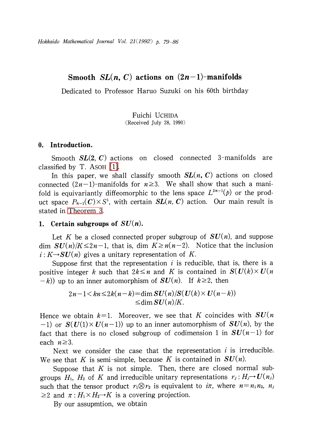Hokkaido Mathematical Journal Vol.  $21(1992)$  p. 79-86

# Smooth  $SL(n, C)$  actions on  $(2n-1)$ -manifolds

Dedicated to Professor Haruo Suzuki on his 60th birthday

Fuichi UCHIDA (Received July 28, 1990)

# 0. Introduction.

Smooth  $SL(2, C)$  actions on closed connected 3-manifolds are classified by T. ASOH [\[1\].](#page-7-0)

In this paper, we shall classify smooth  $SL(n, C)$  actions on closed connected  $(2n-1)$ -manifolds for  $n \geq 3$ . We shall show that such a manifold is equivariantly diffeomorphic to the lens space  $L^{2n-1}(p)$  or the product space  $P_{n-1}(\boldsymbol{C})\times S^{1}$ , with certain  $\boldsymbol{SL}(n, \boldsymbol{C})$  action. Our main result is stated in [Theorem](#page-4-0) 3.

# 1. Certain subgroups of  $SU(n)$ .

Let K be a closed connected proper subgroup of  $SU(n)$ , and suppose dim  $SU(n)/K \leq 2n-1$ , that is, dim  $K \geq n(n-2)$ . Notice that the inclusion  $i: K \rightarrow SU(n)$  gives a unitary representation of K.

Suppose first that the representation  $i$  is reducible, that is, there is a positive integer k such that  $2k\leq n$  and K is contained in  $S(U(k)\times U(n))$  $(-k)$  up to an inner automorphism of  $SU(n)$ . If  $k\geq 2$ , then

> $2n-1$   $\leq$  kn  $\leq$  2k(n-k)=dim  $SU(n)/S(U(k)\times U(n-k))$  $\leq$ dim  $SU(n)/K$ .

Hence we obtain  $k=1$ . Moreover, we see that K coincides with  $SU(n)$ -1) or  $S(U(1)\times U(n-1))$  up to an inner automorphism of  $SU(n)$ , by the fact that there is no closed subgroup of codimension 1 in  $SU(n-1)$  for each  $n\geq 3$ .

Next we consider the case that the representation  $i$  is irreducible. We see that K is semi-simple, because K is contained in  $SU(n)$ .

Suppose that  $K$  is not simple. Then, there are closed normal subgroups  $H_{1}$ ,  $H_{2}$  of  $K$  and irreducible unitary representations  $r_{j}$  :  $H_{j} {\rightarrow} \textit{U(n_{j})}$ such that the tensor product  $r_{1}\otimes r_{2}$  is equivalent to i $\pi$ , where  $n=n_{1}n_{2}$ ,  $n_{j}$  $\geq 2$  and  $\pi: H_{1}\times H_{2}\rightarrow K$  is a covering projection.

By our assupmtion, we obtain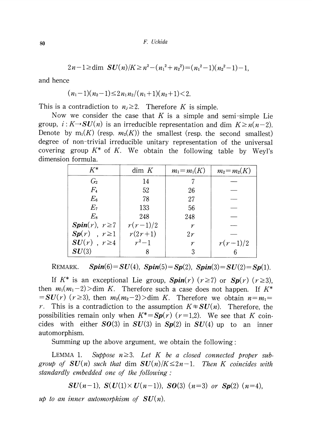$$
2n-1 \geq \dim SU(n)/K \geq n^2-(n_1^2+n_2^2)=(n_1^2-1)(n_2^2-1)-1,
$$

and hence

$$
(n_1-1)(n_2-1)\leq 2n_1n_2/(n_1+1)(n_2+1)<2.
$$

This is a contradiction to  $n_{j}\geq 2$ . Therefore K is simple.

Now we consider the case that K is a simple and semi-simple Lie group,  $i: K \rightarrow SU(n)$  is an irreducible representation and dim  $K \geq n(n-2)$ . Denote by  $m_{1}(K)$  (resp.  $m_{2}(K)$ ) the smallest (resp. the second smallest) degree of non-trivial irreducible unitary representation of the universal covering group  $K^{*}$  of K. We obtain the following table by Weyl's dimension formula.

| $K^*$                | dim K      | $m_1 = m_1(K)$ | $m_2 = m_2(K)$ |
|----------------------|------------|----------------|----------------|
| G <sub>2</sub>       | 14         |                |                |
| $F_{4}$              | 52         | 26             |                |
| $E_{\rm 6}$          | 78         | 27             |                |
| E <sub>7</sub>       | 133        | 56             |                |
| $E_{8}$              | 248        | 248            |                |
| $Spin(r), r \geq 7$  | $r(r-1)/2$ | $\gamma$       |                |
| $Sp(r)$ , $r \geq 1$ | $r(2r+1)$  | 2r             |                |
| $SU(r)$ , $r \geq 4$ | $r^2-1$    | $\gamma$       | $r(r-1)/2$     |
| SU(3)                |            | 3              |                |

REMARK.  $Spin(6) = SU(4)$ ,  $Spin(5) = Sp(2)$ ,  $Spin(3) = SU(2) = Sp(1)$ .

If K<sup>\*</sup> is an exceptional Lie group,  $Spin(r)$  ( $r\geq 7$ ) or  $Sp(r)$  ( $r\geq 3$ ), then  $m_{1}(m_{1}-2)$  also K. Therefore such a case does not happen. If  $K^{*}$  $SUS(SU(r)$  ( $r\geq 3$ ), then  $m_{2}(m_{2}-2)$ ) dim K. Therefore we obtain  $n=m_{1}=1$ r. This is a contradiction to the assumption  $K\ddot{=} SU(n)$ . Therefore, the possibilities remain only when  $K^{*}=Sp(r)$  (r=1,2). We see that K coincides with either  $SO(3)$  in  $SU(3)$  in  $Sp(2)$  in  $SU(4)$  up to an inner automorphism.

<span id="page-1-0"></span>Summing up the above argument, we obtain the following:

LEMMA 1. Suppose  $n \geq 3$ . Let K be a closed connected proper subgroup of  $SU(n)$  such that dim  $SU(n)/K \leq 2n-1$ . Then K coincides with standardly embedded one of the following :

$$
SU(n-1), S(U(1) \times U(n-1)), SO(3) (n=3) or Sp(2) (n=4),
$$

up to an inner automorphism of  $SU(n)$ .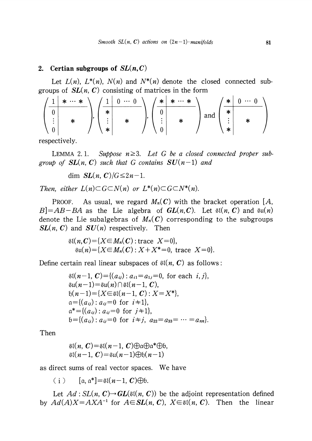### 2. Certian subgroups of  $SL(n, C)$

Let  $L(n)$ ,  $L^{*}(n)$ ,  $N(n)$  and  $N^{*}(n)$  denote the closed connected subgroups of  $SL(n, C)$  consisting of matrices in the form

$$
\left(\begin{array}{c|c}\n1 & \ast & \cdots & \ast \\
\hline\n0 & & \\
\vdots & & \ast \\
0 & & \\
\end{array}\right), \left(\begin{array}{c|c}\n1 & 0 & \cdots & 0 \\
\ast & & \\
\vdots & & \ast \\
\ast & & \\
\end{array}\right), \left(\begin{array}{c|c}\n\ast & \ast & \cdots & \ast \\
\hline\n0 & & \\
\vdots & & \ast \\
0 & & \\
\end{array}\right) \text{ and } \left(\begin{array}{c|c}\n\ast & 0 & \cdots & 0 \\
\ast & & \\
\vdots & & \ast \\
\ast & & \\
\end{array}\right)
$$

respectively.

LEMMA 2.1. Suppose  $n \geq 3$ . Let G be a closed connected proper subgroup of  $SL(n, C)$  such that G contains  $SU(n-1)$  and

dim  $SL(n, C)/G \leq 2n-1$ .

Then, either  $L(n) \subset G\subset N(n)$  or  $L^{*}(n) \subset G\subset N^{*}(n)$ .

PROOF. As usual, we regard  $M_{n}(C)$  with the bracket operation [A,  $B$ =AB-BA as the Lie algebra of  $GL(n, C)$ . Let  $\mathfrak{sl}(n, C)$  and  $\mathfrak{su}(n)$ denote the Lie subalgebras of  $M_{n}(C)$  corresponding to the subgroups  $SL(n, C)$  and  $SU(n)$  respectively. Then

> $\mathfrak{sl}(n,\mathbb{C}) = \{X \in M_{n}(\mathbb{C}) : \text{trace } X = 0\},\$  $\mathfrak{su}(n) = { X \in M_{n}(C) : X+X^{*}=0, \text{ trace } X=0}.$

Define certain real linear subspaces of  $\mathfrak{sl}(n, C)$  as follows:

$$
\mathfrak{sl}(n-1, C) = \{(a_{ij}) : a_{i1} = a_{1j} = 0, \text{ for each } i, j\},\n\n\mathfrak{su}(n-1) = \mathfrak{su}(n) \cap \mathfrak{sl}(n-1, C),\n\n\mathfrak{h}(n-1) = \{X \in \mathfrak{sl}(n-1, C) : X = X^*\},\n\n\mathfrak{a} = \{(a_{ij}) : a_{ij} = 0 \text{ for } i+1\},\n\n\mathfrak{a}^* = \{(a_{ij}) : a_{ij} = 0 \text{ for } j+1\},\n\n\mathfrak{b} = \{(a_{ij}) : a_{ij} = 0 \text{ for } i \neq j, a_{22} = a_{33} = \cdots = a_{nn}\}.
$$

Then

$$
\mathfrak{sl}(n, C) = \mathfrak{sl}(n-1, C) \oplus \mathfrak{a} \oplus \mathfrak{a}^* \oplus \mathfrak{b},
$$
  

$$
\mathfrak{sl}(n-1, C) = \mathfrak{su}(n-1) \oplus \mathfrak{h}(n-1)
$$

as direct sums of real vector spaces. We have

(i)  $[a, a^{*}]=\mathfrak{sl}(n-1, C)\oplus b.$ 

Let  $Ad: SL(n, C) \rightarrow GL(\mathfrak{sl}(n, C))$  be the adjoint representation defined by  $Ad(A)X = AXA^{-1}$  for  $A \in SL(n, C)$ ,  $X \in \mathfrak{sl}(n, C)$ . Then the linear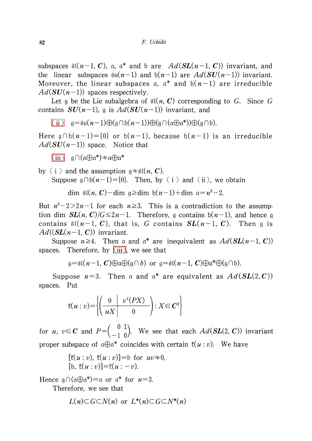subspaces  $\mathfrak{sl}(n{-}1,$   $\boldsymbol{C})$ , a, a\* and b are  $Ad(\boldsymbol{SL}(n{-}1,$   $\boldsymbol{C}))$  invariant, and the linear subspaces  $\mathfrak{su}(n-1)$  and  $\mathfrak{h}(n-1)$  are  $Ad(SU(n-1))$  invariant. Moreover, the linear subspaces  $\mathfrak{a},$   $\mathfrak{a}^{*}$  and  $\mathfrak{h}(n-1)$  are irreducible  $Ad(SU(n-1))$  spaces respectively.

Let  $\mathfrak{g}$  be the Lie subalgebra of  $\mathfrak{sl}(n, C)$  corresponding to G. Since G. contains  $SU(n-1)$ , g is  $Ad(SU(n-1))$  invariant, and

[\(ii\)](#page-5-0)  $\mathfrak{g}=\mathfrak{su}(n-1)\bigoplus(\mathfrak{g}\cap \mathfrak{h}(n-1))\bigoplus(\mathfrak{g}\cap(\mathfrak{a}\oplus \mathfrak{a}^{*}))\bigoplus(\mathfrak{g}\cap \mathfrak{b}).$ 

Here  $\mathfrak{g}\cap \mathfrak{h}(n-1)$   $=$   $\{0\}$  or  $\mathfrak{h}(n-1)$ , because  $\mathfrak{h}(n-1)$  is an irreducible  $Ad(SU(n-1))$  space. Notice that

[\(iii\)](#page-6-0)  $\mathfrak{q}\cap(\mathfrak{a}\oplus \mathfrak{a}^{*})\pm \mathfrak{a}\oplus \mathfrak{a}^{*}$ 

by (i) and the assumption  $\mathfrak{g}\neq \mathfrak{sl}(n, C)$ . Suppose  $\mathfrak{g}\cap \mathfrak{h}(n-1)=\{0\}$ . Then, by (i) and (ii), we obtain

 $\dim$  \$l $(n, \mathbf{C})-$ dim  $\mathfrak{g}\geq \dim \ \mathfrak{h}(n-1)+\dim \ \mathfrak{a}=n^{2}-2.$ 

But  $n^{2}-2>2n-1$  for each  $n\geq 3$ . This is a contradiction to the assumption dim  $SL(n, C)/G \leq 2n-1$ . Therefore, g contains  $\mathfrak{h}(n-1)$ , and hence g contains  $\mathfrak{sl}(n-1, \mathbf{C})$ , that is,  $G$  contains  $\boldsymbol{SL}(n-1, \mathbf{C})$ . Then  $\mathfrak{g}$  is  $Ad((SL(n-1, C))$  invariant.

Suppose  $n \geq 4$ . Then a and a\* are inequivalent as  $Ad(\mathbf{SL}(n-1, \, \boldsymbol{C}))$ spaces. Therefore, by  $(iii)$ , we see that

 $\mathfrak{g}=\mathfrak{sl}(n-1, \mathbf{\textit{C}})\oplus \mathfrak{a}\oplus (\mathfrak{g}\cap b)$  or  $\mathfrak{g}=\mathfrak{sl}(n-1, \mathbf{\textit{C}})\oplus \mathfrak{a}^{*}\oplus (\mathfrak{g}\cap b).$ 

Suppose  $n=3.$  Then a and a\* are equivalent as  $Ad(\boldsymbol{SL}(2, \boldsymbol{C}))$ spaces. Put

$$
f(u:v) = \left\{ \left( \begin{array}{c|c} 0 & v^t(PX) \\ \hline uX & 0 \end{array} \right) : X \in \mathbb{C}^2 \right\}
$$

for u,  $v\in C$  and  $P=\begin{pmatrix} 0 & 1 \ -1 & 0 \end{pmatrix}$ . We see that each  $Ad(SL(2, C))$  invariant proper subspace of  $\mathfrak{a}\oplus \mathfrak{a}^{*}$  coincides with certain  $f(u:v)$ . We have

$$
[f(u : v), f(u : v)] = b \text{ for } uv \neq 0,
$$
  
[b, f(u : v)] = f(u : -v).

Hence  $\mathfrak{g}\cap(a\oplus a^{*})=_{\alpha}$  or  $a^{*}$  for  $n=3$ .

Therefore, we see that

$$
L(n) \subset G \subset N(n)
$$
 or  $L^*(n) \subset G \subset N^*(n)$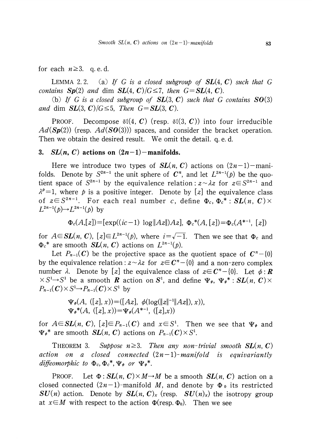## for each  $n \geq 3$ . q. e. d.

<span id="page-4-1"></span>LEMMA 2.2. (a) If G is a closed subgroup of  $SL(4, C)$  such that G contains  $Sp(2)$  and dim  $SL(4, C)/G \leq 7$ , then  $G = SL(4, C)$ .

(b) If G is a closed subgroup of  $SL(3, C)$  such that G contains  $SO(3)$ and dim  $SL(3, C)/G \leq 5$ , Then  $G = SL(3, C)$ .

PROOF. Decompose  $\mathfrak{sl}(4, C)$  (resp.  $\mathfrak{sl}(3, C)$ ) into four irreducible  $Ad(Sp(2))$  (resp.  $Ad(SO(3))$ ) spaces, and consider the bracket operation. Then we obtain the desired result. We omit the detail. q. e. d.

# 3.  $SL(n, C)$  actions on  $(2n-1)$ -manifolds.

Here we introduce two types of  $SL(n, C)$  actions on  $(2n-1)$ -manifolds. Denote by  $S^{2n-1}$  the unit sphere of  $C^{n}$ , and let  $L^{2n-1}(p)$  be the quotient space of  $S^{2n-1}$  by the equivalence relation:  $z \sim \lambda z$  for  $z \in S^{2n-1}$  and  $\lambda^{p}=1$ , where p is a positive integer. Denote by [z] the equivalence class of  $z \! \in \! S^{2n-1}$ . For each real number  $c$ , define  $\Phi_{c},$   $\Phi_{c}^{*}$  :  $\boldsymbol{SL}(n,$   $\boldsymbol{C})\times$  $L^{2n-1}(p) \rightarrow L^{2n-1}(p)$  by

$$
\Phi_c(A,[z]) = [\exp((ic-1) \log \|Az\|)Az], \ \Phi_c^*(A,[z]) = \Phi_c(A^{*-1}, [z])
$$

for  $A{\in} \mathbf{SL}(n,\mathbf{C}),$   $[z]{\in}L^{2n-1}(p),$  where  $i{=}\sqrt{-1}.$  Then we see that  $\Phi_{c}$  and  $\Phi_{c}^{*}$  are smooth  $SL(n, C)$  actions on  $L^{2n-1}(p)$ .

Let  $P_{n-1}(C)$  be the projective space as the quotient space of  $C^{n}-\{0\}$ by the equivalence relation:  $z \sim \lambda z$  for  $z \in C^{n}-\{0\}$  and a non-zero complex number  $\lambda$ . Denote by [ $z$ ] the equivalence class of  $z\!\in\! \boldsymbol{C}^{n}\!-\!\{0\}$ . Let  $\phi:\boldsymbol{R}$  $\times \, S^{1} {\rightarrow} S^{1}$  be a smooth  $\bm{R}$  action on  $\bm{S}^{1}$ , and define  $\Psi_{\phi}, \; \Psi_{\phi}^{*}:$   $SL(n, \;C) \times$  $P_{n-1}(C)\times S^{1}\rightarrow P_{n-1}(C)\times S^{1}$  by

$$
\Psi_{\phi}(A, ([z], x)) = ([Az], \phi(\log(\|z\|^{-1} \|Az\|), x)),
$$
  

$$
\Psi_{\phi}^{*}(A, ([z], x)) = \Psi_{\phi}(A^{*-1}, ([z], x))
$$

for  $A\!\!\in\!\mathbf{SL}(n,\,\mathbf{C}),\ [z]\!\!\in\!\!P_{n-1}(\mathbf{C})$  and  $x\!\!\in\!\mathbf{S}^{1}.$  Then we see that  $\Psi_{\pmb{\varphi}}$  and  $\Psi_{\phi}^{*}$  are smooth  $SL(n, C)$  actions on  $P_{n-1}(C)\times S^{1}$ .

<span id="page-4-0"></span>THEOREM 3. Suppose  $n \geq 3$ . Then any non-trivial smooth  $SL(n, C)$ action on a closed connected  $(2n-1)$ -manifold is equivariantly diffeomorphic to  $\Phi_{c}, \Phi_{c}^{*}, \Psi_{\phi}$  or  $\Psi_{\phi}^{*}$ .

PROOF. Let  $\Phi : SL(n, C) \times M \rightarrow M$  be a smooth  $SL(n, C)$  action on a closed connected  $(2n-1)$ -manifold M, and denote by  $\Phi_0$  its restricted  $SU(n)$  action. Denote by  $SL(n, C)_{x}$  (resp.  $SU(n)_{x}$ ) the isotropy group at  $x{\in}M$  with respect to the action  $\Phi(\text{resp. } \Phi_{0}).$  Then we see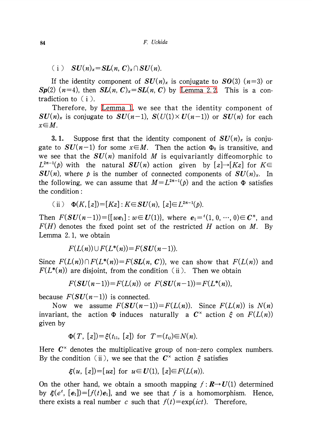(i)  $SU(n)_{x}=SL(n, C)_{x}\cap SU(n)$ .

If the identity component of  $SU(n)_{x}$  is conjugate to  $SO(3)$  (n=3) or  $Sp(2)$   $(n=4)$ , then  $SL(n, C)_{x}=SL(n, C)$  by [Lemma](#page-4-1) 2.2. This is a contradiction to  $(i)$ .

Therefore, by [Lemma](#page-1-0) 1, we see that the identity component of  $SU(n)_{\chi}$  is conjugate to  $SU(n-1)$ ,  $S(U(1)\times U(n-1))$  or  $SU(n)$  for each  $x \in M$ .

**3.1.** Suppose first that the identity component of  $SU(n)_{\chi}$  is conjugate to  $SU(n-1)$  for some  $x\in M$ . Then the action  $\Phi_{0}$  is transitive, and we see that the  $SU(n)$  manifold M is equivariantly diffeomorphic to  $L^{2n-1}(p)$  with the natural  $SU(n)$  action given by  $[z] \rightarrow [Kz]$  for  $K\in$  $SU(n)$ , where p is the number of connected components of  $SU(n)_{x}$ . In the following, we can assume that  $M=L^{2n-1}(p)$  and the action  $\Phi$  satisfies the condition:

<span id="page-5-0"></span>(ii) 
$$
\Phi(K, [z]) = [Kz] : K \in SU(n), [z] \in L^{2n-1}(p)
$$
.

Then  $F(SU(n-1))=[[we_{1}]$ :  $w\in U(1)\}$ , where  $e_{1}=^{t}(1,0, \cdots, 0)\in \mathbb{C}^{n}$ , and  $F(H)$  denotes the fixed point set of the restricted H action on M. By Lemma 2. 1, we obtain

$$
F(L(n)) \cup F(L^*(n)) = F(SU(n-1)).
$$

Since  $F(L(n))\cap F(L^{*}(n))=F(SL(n, C))$ , we can show that  $F(L(n))$  and  $F(L^{*}(n))$  are disjoint, from the condition (ii). Then we obtain

$$
F(SU(n-1))=F(L(n))
$$
 or  $F(SU(n-1))=F(L^*(n)),$ 

because  $F(SU(n-1))$  is connected.

Now we assume  $F(SU(n-1))=F(L(n))$ . Since  $F(L(n))$  is  $N(n)$ invariant, the  $\;$  action  $\Phi$  induces  $\;$  naturally  $\;$  a  $\;{\cal C}^{\times}$   $\;$  action  $\;$   $\in$  on  $\;F(L(n))$ given by

$$
\Phi(T, [z]) = \xi(t_{11}, [z]) \text{ for } T = (t_{ij}) \in N(n).
$$

Here  $C^{\times}$  denotes the multiplicative group of non-zero complex numbers. By the condition (ii), we see that the  $C^{\times}$  action  $\xi$  satisfies

$$
\xi(u, [z]) = [uz]
$$
 for  $u \in U(1), [z] \in F(L(n))$ .

On the other hand, we obtain a smooth mapping  $f: \mathbb{R} \rightarrow U(1)$  determined by  $\xi(e^{t}, [e_{1}])=[f(t)e_{1}]$ , and we see that f is a homomorphism. Hence, there exists a real number c such that  $f(t)=\exp(ict)$ . Therefore,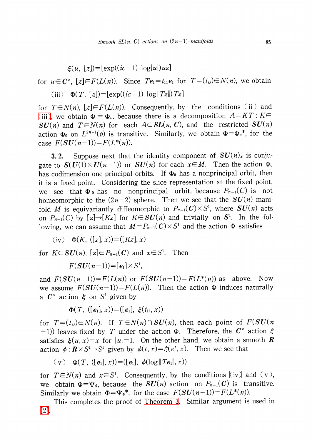$\xi(u, [z])=[\exp((ic-1)\log|u|)uz]$ 

for  $u\in C^{\times}$ ,  $[z]\in F(L(n))$ . Since  $Te_{1}=t_{11}e_{1}$  for  $T=(t_{ij})\in N(n)$ , we obtain (iii)  $\Phi(T,[z])=[\exp((ic-1)\log|Tz|)Tz]$ 

<span id="page-6-0"></span>for  $T\!\in\! N(n)$ ,  $[z]\!\!\in\! F(L(n))$ . Consequently, by the conditions (ii) and [\(iii\),](#page-6-0) we obtain  $\Phi=\Phi_{c}$ , because there is a decomposition  $A=KT$  :  $K\in$  $SU(n)$  and  $T\in N(n)$  for each  $A\in SL(n, C)$ , and the restricted  $SU(n)$ action  $\Phi_{0}$  on  $L^{2n-1}(p)$  is transitive. Similarly, we obtain  $\Phi{=}\Phi_{c}^{*}$ , for the case  $F(SU(n-1))=F(L^{*}(n))$ .

**3. 2.** Suppose next that the identity component of  $SU(n)_{x}$  is conjugate to  $S(U(1)\times U(n-1))$  or  $SU(n)$  for each  $x\in M$ . Then the action  $\Phi_{0}$ has codimension one principal orbits. If  $\Phi_{0}$  has a nonprincipal orbit, then it is a fixed point. Considering the slice representation at the fixed point, we see that  $\Phi_0$  has no nonprincipal orbit, because  $P_{n-1}(C)$  is not homeomorphic to the  $(2n-2)$ -sphere. Then we see that the  $SU(n)$  manifold M is equivariantly diffeomorphic to  $P_{n-1}(C)\times S^{1}$ , where  $SU(n)$  acts on  $P_{n-1}(C)$  by  $[z] \rightarrow [Kz]$  for  $K{\in}SU(n)$  and trivially on  $S^{1}.$  In the following, we can assume that  $M=P_{n-1}(C)\times S^{1}$  and the action  $\Phi$  satisfies

<span id="page-6-1"></span>(iv) 
$$
\Phi(K, ([z], x)) = ([Kz], x)
$$

for  $K{\in}\boldsymbol{S} U(n)$ ,  $[z]{\in} P_{n-1}(\boldsymbol{C})$  and  $x{\in} S^{1}.$  Then

$$
F(SU(n-1))=[e_1]\times S^1,
$$

and  $F(SU(n-1))=F(L(n))$  or  $F(SU(n-1))=F(L^{*}(n))$  as above. Now we assume  $F(SU(n-1))=F(L(n))$ . Then the action  $\Phi$  induces naturally a  $\mathcal{C}^{\times}$  action  $\xi$  on  $S^{1}$  given by

$$
\Phi(T, ([e_1], x)) = ([e_1], \xi(t_{11}, x))
$$

for  $T=(t_{ii})\in N(n)$ . If  $T\in N(n)\cap SU(n)$ , then each point of  $F(SU(n))$  $(-1)$ ) leaves fixed by T under the action  $\Phi$ . Therefore, the  $C^{\times}$  action  $\xi$ satisfies  $\xi(u, x)=x$  for  $|u|=1$ . On the other hand, we obtain a smooth R action  $\phi : \boldsymbol{R}\times S^{1}\!\!\rightarrow\! S^{1}$  given by  $\phi(t, x){=}\xi(e^{t}, x).$  Then we see that

$$
(v) \Phi(T, ([e_1], x)) = ([e_1], \phi(\log ||Te_1||, x))
$$

for  $T\in N(n)$  and  $x\in S^{1}$ . Consequently, by the conditions [\(iv\)](#page-6-1) and (v), we obtain  $\Phi{=}\Psi_{\phi}$ , because the  $SU(n)$  action on  $P_{n-1}(C)$  is transitive. Similarly we obtain  $\Phi{=}\Psi_{\phi}^{*}$ , for the case  $F(\boldsymbol{SU}(n-1))\!=\!F(L^{*}(n))$ .

This completes the proof of [Theorem](#page-4-0) 3. Similar argument is used in [\[2\].](#page-7-1)